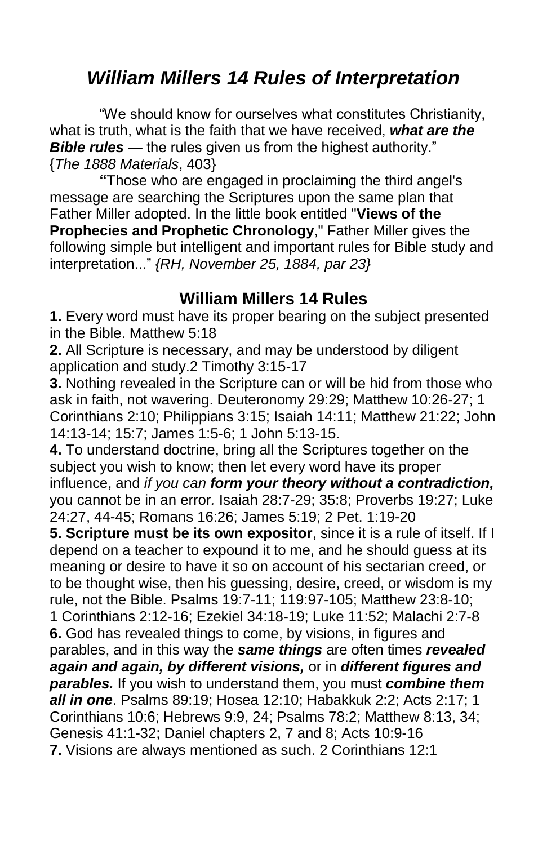# *William Millers 14 Rules of Interpretation*

"We should know for ourselves what constitutes Christianity, what is truth, what is the faith that we have received, *what are the*  **Bible rules** — the rules given us from the highest authority." {*The 1888 Materials*, 403}

**"**Those who are engaged in proclaiming the third angel's message are searching the Scriptures upon the same plan that Father Miller adopted. In the little book entitled "**Views of the Prophecies and Prophetic Chronology**," Father Miller gives the following simple but intelligent and important rules for Bible study and interpretation..." *{RH, November 25, 1884, par 23}*

#### **William Millers 14 Rules**

**1.** Every word must have its proper bearing on the subject presented in the Bible. Matthew 5:18

**2.** All Scripture is necessary, and may be understood by diligent application and study.2 Timothy 3:15-17

**3.** Nothing revealed in the Scripture can or will be hid from those who ask in faith, not wavering. Deuteronomy 29:29; Matthew 10:26-27; 1 Corinthians 2:10; Philippians 3:15; Isaiah 14:11; Matthew 21:22; John 14:13-14; 15:7; James 1:5-6; 1 John 5:13-15.

**4.** To understand doctrine, bring all the Scriptures together on the subject you wish to know; then let every word have its proper influence, and *if you can form your theory without a contradiction,*  you cannot be in an error*.* Isaiah 28:7-29; 35:8; Proverbs 19:27; Luke 24:27, 44-45; Romans 16:26; James 5:19; 2 Pet. 1:19-20

**5. Scripture must be its own expositor**, since it is a rule of itself. If I depend on a teacher to expound it to me, and he should guess at its meaning or desire to have it so on account of his sectarian creed, or to be thought wise, then his guessing, desire, creed, or wisdom is my rule, not the Bible. Psalms 19:7-11; 119:97-105; Matthew 23:8-10; 1 Corinthians 2:12-16; Ezekiel 34:18-19; Luke 11:52; Malachi 2:7-8 **6.** God has revealed things to come, by visions, in figures and parables, and in this way the *same things* are often times *revealed again and again, by different visions,* or in *different figures and parables.* If you wish to understand them, you must *combine them all in one*. Psalms 89:19; Hosea 12:10; Habakkuk 2:2; Acts 2:17; 1 Corinthians 10:6; Hebrews 9:9, 24; Psalms 78:2; Matthew 8:13, 34; Genesis 41:1-32; Daniel chapters 2, 7 and 8; Acts 10:9-16 **7.** Visions are always mentioned as such. 2 Corinthians 12:1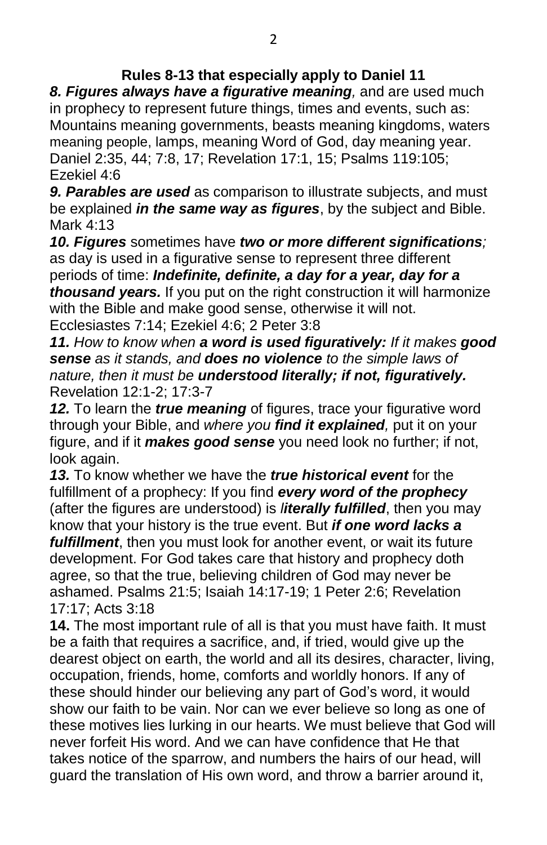#### **Rules 8-13 that especially apply to Daniel 11**

*8. Figures always have a figurative meaning,* and are used much in prophecy to represent future things, times and events, such as: Mountains meaning governments, beasts meaning kingdoms, waters meaning people, lamps, meaning Word of God, day meaning year. Daniel 2:35, 44; 7:8, 17; Revelation 17:1, 15; Psalms 119:105; Ezekiel 4:6

*9. Parables are used* as comparison to illustrate subjects, and must be explained *in the same way as figures*, by the subject and Bible. Mark 4:13

*10. Figures* sometimes have *two or more different significations;* as day is used in a figurative sense to represent three different periods of time: *Indefinite, definite, a day for a year, day for a thousand years.* If you put on the right construction it will harmonize with the Bible and make good sense, otherwise it will not.

Ecclesiastes 7:14; Ezekiel 4:6; 2 Peter 3:8

*11. How to know when a word is used figuratively: If it makes good sense as it stands, and does no violence to the simple laws of nature, then it must be understood literally; if not, figuratively.* Revelation 12:1-2; 17:3-7

*12.* To learn the *true meaning* of figures, trace your figurative word through your Bible, and *where you find it explained,* put it on your figure, and if it *makes good sense* you need look no further; if not, look again.

*13.* To know whether we have the *true historical event* for the fulfillment of a prophecy: If you find *every word of the prophecy*  (after the figures are understood) is *literally fulfilled*, then you may know that your history is the true event. But *if one word lacks a fulfillment*, then you must look for another event, or wait its future development. For God takes care that history and prophecy doth agree, so that the true, believing children of God may never be ashamed. Psalms 21:5; Isaiah 14:17-19; 1 Peter 2:6; Revelation 17:17; Acts 3:18

**14.** The most important rule of all is that you must have faith. It must be a faith that requires a sacrifice, and, if tried, would give up the dearest object on earth, the world and all its desires, character, living, occupation, friends, home, comforts and worldly honors. If any of these should hinder our believing any part of God's word, it would show our faith to be vain. Nor can we ever believe so long as one of these motives lies lurking in our hearts. We must believe that God will never forfeit His word. And we can have confidence that He that takes notice of the sparrow, and numbers the hairs of our head, will guard the translation of His own word, and throw a barrier around it,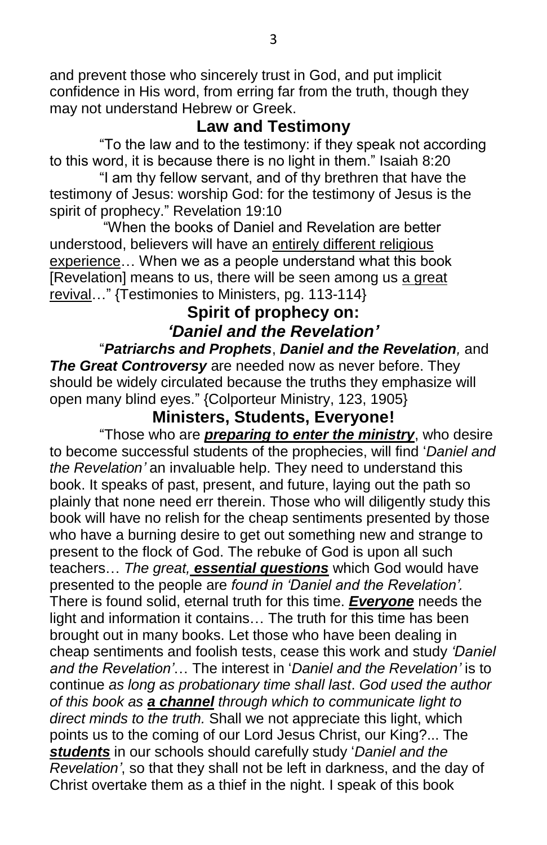and prevent those who sincerely trust in God, and put implicit confidence in His word, from erring far from the truth, though they may not understand Hebrew or Greek.

## **Law and Testimony**

"To the law and to the testimony: if they speak not according to this word, it is because there is no light in them." Isaiah 8:20

"I am thy fellow servant, and of thy brethren that have the testimony of Jesus: worship God: for the testimony of Jesus is the spirit of prophecy." Revelation 19:10

"When the books of Daniel and Revelation are better understood, believers will have an entirely different religious experience… When we as a people understand what this book [Revelation] means to us, there will be seen among us a great revival…" {Testimonies to Ministers, pg. 113-114}

# **Spirit of prophecy on:** *'Daniel and the Revelation'*

"*Patriarchs and Prophets*, *Daniel and the Revelation,* and *The Great Controversy* are needed now as never before. They should be widely circulated because the truths they emphasize will open many blind eyes." {Colporteur Ministry, 123, 1905}

## **Ministers, Students, Everyone!**

"Those who are *preparing to enter the ministry*, who desire to become successful students of the prophecies, will find '*Daniel and the Revelation'* an invaluable help. They need to understand this book. It speaks of past, present, and future, laying out the path so plainly that none need err therein. Those who will diligently study this book will have no relish for the cheap sentiments presented by those who have a burning desire to get out something new and strange to present to the flock of God. The rebuke of God is upon all such teachers… *The great, essential questions* which God would have presented to the people are *found in 'Daniel and the Revelation'.* There is found solid, eternal truth for this time. *Everyone* needs the light and information it contains… The truth for this time has been brought out in many books. Let those who have been dealing in cheap sentiments and foolish tests, cease this work and study *'Daniel and the Revelation'*… The interest in '*Daniel and the Revelation'* is to continue *as long as probationary time shall last*. *God used the author of this book as a channel through which to communicate light to direct minds to the truth.* Shall we not appreciate this light, which points us to the coming of our Lord Jesus Christ, our King?... The *students* in our schools should carefully study '*Daniel and the Revelation'*, so that they shall not be left in darkness, and the day of Christ overtake them as a thief in the night. I speak of this book